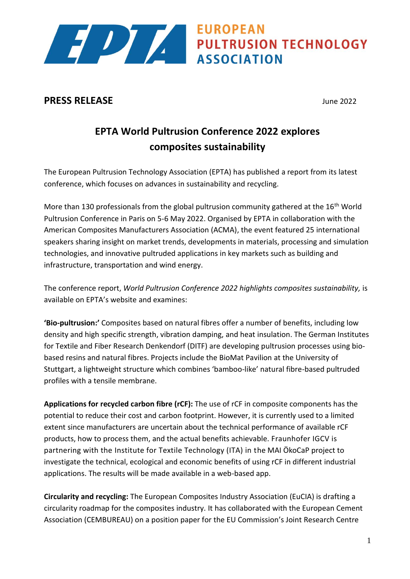

## **PRESS RELEASE** June 2022

# **EPTA World Pultrusion Conference 2022 explores composites sustainability**

**ASSOCIATION** 

The European Pultrusion Technology Association (EPTA) has published a report from its latest conference, which focuses on advances in sustainability and recycling.

More than 130 professionals from the global pultrusion community gathered at the  $16<sup>th</sup>$  World Pultrusion Conference in Paris on 5-6 May 2022. Organised by EPTA in collaboration with the American Composites Manufacturers Association (ACMA), the event featured 25 international speakers sharing insight on market trends, developments in materials, processing and simulation technologies, and innovative pultruded applications in key markets such as building and infrastructure, transportation and wind energy.

The conference report, *World Pultrusion Conference 2022 highlights composites sustainability,* is available on EPTA's website and examines:

**'Bio-pultrusion:'** Composites based on natural fibres offer a number of benefits, including low density and high specific strength, vibration damping, and heat insulation. The German Institutes for Textile and Fiber Research Denkendorf (DITF) are developing pultrusion processes using biobased resins and natural fibres. Projects include the BioMat Pavilion at the University of Stuttgart, a lightweight structure which combines 'bamboo-like' natural fibre-based pultruded profiles with a tensile membrane.

**Applications for recycled carbon fibre (rCF):** The use of rCF in composite components has the potential to reduce their cost and carbon footprint. However, it is currently used to a limited extent since manufacturers are uncertain about the technical performance of available rCF products, how to process them, and the actual benefits achievable. Fraunhofer IGCV is partnering with the Institute for Textile Technology (ITA) in the MAI ÖkoCaP project to investigate the technical, ecological and economic benefits of using rCF in different industrial applications. The results will be made available in a web-based app.

**Circularity and recycling:** The European Composites Industry Association (EuCIA) is drafting a circularity roadmap for the composites industry. It has collaborated with the European Cement Association (CEMBUREAU) on a position paper for the EU Commission's Joint Research Centre